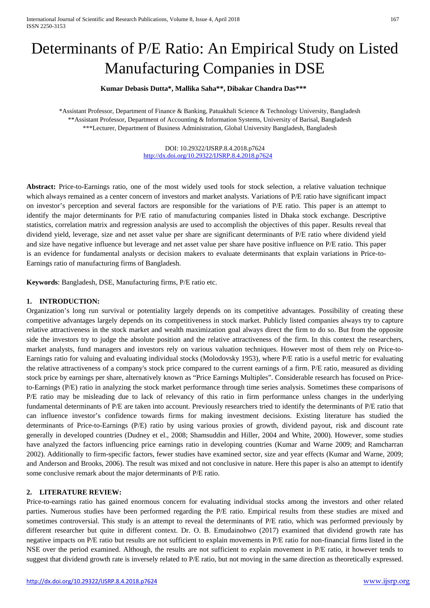# Determinants of P/E Ratio: An Empirical Study on Listed Manufacturing Companies in DSE

# **Kumar Debasis Dutta\*, Mallika Saha\*\*, Dibakar Chandra Das\*\*\***

\*Assistant Professor, Department of Finance & Banking, Patuakhali Science & Technology University, Bangladesh \*\*Assistant Professor, Department of Accounting & Information Systems, University of Barisal, Bangladesh \*\*\*Lecturer, Department of Business Administration, Global University Bangladesh, Bangladesh

> DOI: 10.29322/IJSRP.8.4.2018.p7624 [http://dx.doi.org/10.29322/IJSRP.8.4.2018.p7624](http://dx.doi.org/10.29322/IJSRP.8.4.2018.p76XX)

**Abstract:** Price-to-Earnings ratio, one of the most widely used tools for stock selection, a relative valuation technique which always remained as a center concern of investors and market analysts. Variations of P/E ratio have significant impact on investor's perception and several factors are responsible for the variations of P/E ratio. This paper is an attempt to identify the major determinants for P/E ratio of manufacturing companies listed in Dhaka stock exchange. Descriptive statistics, correlation matrix and regression analysis are used to accomplish the objectives of this paper. Results reveal that dividend yield, leverage, size and net asset value per share are significant determinants of P/E ratio where dividend yield and size have negative influence but leverage and net asset value per share have positive influence on P/E ratio. This paper is an evidence for fundamental analysts or decision makers to evaluate determinants that explain variations in Price-to-Earnings ratio of manufacturing firms of Bangladesh.

**Keywords**: Bangladesh, DSE, Manufacturing firms, P/E ratio etc.

# **1. INTRODUCTION:**

Organization's long run survival or potentiality largely depends on its competitive advantages. Possibility of creating these competitive advantages largely depends on its competitiveness in stock market. Publicly listed companies always try to capture relative attractiveness in the stock market and wealth maximization goal always direct the firm to do so. But from the opposite side the investors try to judge the absolute position and the relative attractiveness of the firm. In this context the researchers, market analysts, fund managers and investors rely on various valuation techniques. However most of them rely on Price-to-Earnings ratio for valuing and evaluating individual stocks (Molodovsky 1953), where P/E ratio is a useful metric for evaluating the relative attractiveness of a company's stock price compared to the current earnings of a firm. P/E ratio, measured as dividing stock price by earnings per share, alternatively known as "Price Earnings Multiples". Considerable research has focused on Priceto-Earnings (P/E) ratio in analyzing the stock market performance through time series analysis. Sometimes these comparisons of P/E ratio may be misleading due to lack of relevancy of this ratio in firm performance unless changes in the underlying fundamental determinants of P/E are taken into account. Previously researchers tried to identify the determinants of P/E ratio that can influence investor's confidence towards firms for making investment decisions. Existing literature has studied the determinants of Price-to-Earnings (P/E) ratio by using various proxies of growth, dividend payout, risk and discount rate generally in developed countries (Dudney et el., 2008; Shamsuddin and Hiller, 2004 and White, 2000). However, some studies have analyzed the factors influencing price earnings ratio in developing countries (Kumar and Warne 2009; and Ramcharran 2002). Additionally to firm-specific factors, fewer studies have examined sector, size and year effects (Kumar and Warne, 2009; and Anderson and Brooks, 2006). The result was mixed and not conclusive in nature. Here this paper is also an attempt to identify some conclusive remark about the major determinants of P/E ratio.

### **2. LITERATURE REVIEW:**

Price-to-earnings ratio has gained enormous concern for evaluating individual stocks among the investors and other related parties. Numerous studies have been performed regarding the P/E ratio. Empirical results from these studies are mixed and sometimes controversial. This study is an attempt to reveal the determinants of P/E ratio, which was performed previously by different researcher but quite in different context. Dr. O. B. Emudainohwo (2017) examined that dividend growth rate has negative impacts on P/E ratio but results are not sufficient to explain movements in P/E ratio for non-financial firms listed in the NSE over the period examined. Although, the results are not sufficient to explain movement in P/E ratio, it however tends to suggest that dividend growth rate is inversely related to P/E ratio, but not moving in the same direction as theoretically expressed.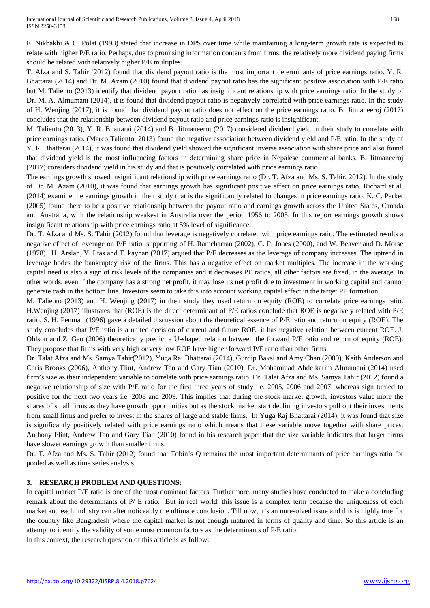E. Nikbakhi & C. Polat (1998) stated that increase in DPS over time while maintaining a long-term growth rate is expected to relate with higher P/E ratio. Perhaps, due to promising information contents from firms, the relatively more dividend paying firms should be related with relatively higher P/E multiples.

T. Afza and S. Tahir (2012) found that dividend payout ratio is the most important determinants of price earnings ratio. Y. R. Bhattarai (2014) and Dr. M. Azam (2010) found that dividend payout ratio has the significant positive association with P/E ratio but M. Taliento (2013) identify that dividend payout ratio has insignificant relationship with price earnings ratio. In the study of Dr. M. A. Almumani (2014), it is found that dividend payout ratio is negatively correlated with price earnings ratio. In the study of H. Wenjing (2017), it is found that dividend payout ratio does not effect on the price earnings ratio. B. Jitmaneeroj (2017) concludes that the relationship between dividend payout ratio and price earnings ratio is insignificant.

M. Taliento (2013), Y. R. Bhattarai (2014) and B. Jitmaneeroj (2017) considered dividend yield in their study to correlate with price earnings ratio. (Marco Taliento, 2013) found the negative association between dividend yield and P/E ratio. In the study of Y. R. Bhattarai (2014), it was found that dividend yield showed the significant inverse association with share price and also found that dividend yield is the most influencing factors in determining share price in Nepalese commercial banks*.* B. Jitmaneeroj (2017) considers dividend yield in his study and that is positively correlated with price earnings ratio.

The earnings growth showed insignificant relationship with price earnings ratio (Dr. T. Afza and Ms. S. Tahir, 2012). In the study of Dr. M. Azam (2010), it was found that earnings growth has significant positive effect on price earnings ratio. Richard et al. (2014) examine the earnings growth in their study that is the significantly related to changes in price earnings ratio. K. C. Parker (2005) found there to be a positive relationship between the payout ratio and earnings growth across the United States, Canada and Australia, with the relationship weakest in Australia over the period 1956 to 2005. In this report earnings growth shows insignificant relationship with price earnings ratio at 5% level of significance.

Dr. T. Afza and Ms. S. Tahir (2012) found that leverage is negatively correlated with price earnings ratio. The estimated results a negative effect of leverage on P/E ratio, supporting of H. Ramcharran (2002), C. P. Jones (2000), and W. Beaver and D. Morse (1978). H. Arslan, Y. Iltas and T. kayhan (2017) argued that P/E decreases as the leverage of company increases. The uptrend in leverage bodes the bankruptcy risk of the firms. This has a negative effect on market multiples. The increase in the working capital need is also a sign of risk levels of the companies and it decreases PE ratios, all other factors are fixed, in the average. In other words, even if the company has a strong net profit, it may lose its net profit due to investment in working capital and cannot generate cash in the bottom line. Investors seem to take this into account working capital effect in the target PE formation.

M. Taliento (2013) and H. Wenjing (2017) in their study they used return on equity (ROE) to correlate price earnings ratio. H.Wenjing (2017) illustrates that (ROE) is the direct determinant of P/E ratios conclude that ROE is negatively related with P/E ratio. S. H. Penman (1996) gave a detailed discussion about the theoretical essence of P/E ratio and return on equity (ROE). The study concludes that P/E ratio is a united decision of current and future ROE; it has negative relation between current ROE. J. Ohlson and Z. Gao (2006) theoretically predict a U-shaped relation between the forward P/E ratio and return of equity (ROE). They propose that firms with very high or very low ROE have higher forward P/E ratio than other firms.

Dr. Talat Afza and Ms. Samya Tahir(2012), Yuga Raj Bhattarai (2014), Gurdip Baksi and Amy Chan (2000), Keith Anderson and Chris Brooks (2006), Anthony Flint, Andrew Tan and Gary Tian (2010), Dr. Mohammad Abdelkarim Almumani (2014) used firm's size as their independent variable to correlate with price earnings ratio. Dr. Talat Afza and Ms. Samya Tahir (2012) found a negative relationship of size with P/E ratio for the first three years of study i.e. 2005, 2006 and 2007, whereas sign turned to positive for the next two years i.e. 2008 and 2009. This implies that during the stock market growth, investors value more the shares of small firms as they have growth opportunities but as the stock market start declining investors pull out their investments from small firms and prefer to invest in the shares of large and stable firms. In Yuga Raj Bhattarai (2014), it was found that size is significantly positively related with price earnings ratio which means that these variable move together with share prices. Anthony Flint, Andrew Tan and Gary Tian (2010) found in his research paper that the size variable indicates that larger firms have slower earnings growth than smaller firms.

Dr. T. Afza and Ms. S. Tahir (2012) found that Tobin's Q remains the most important determinants of price earnings ratio for pooled as well as time series analysis.

# **3. RESEARCH PROBLEM AND QUESTIONS:**

In capital market P/E ratio is one of the most dominant factors. Furthermore, many studies have conducted to make a concluding remark about the determinants of P/ E ratio. But in real world, this issue is a complex term because the uniqueness of each market and each industry can alter noticeably the ultimate conclusion. Till now, it's an unresolved issue and this is highly true for the country like Bangladesh where the capital market is not enough matured in terms of quality and time. So this article is an attempt to identify the validity of some most common factors as the determinants of P/E ratio. In this context, the research question of this article is as follow: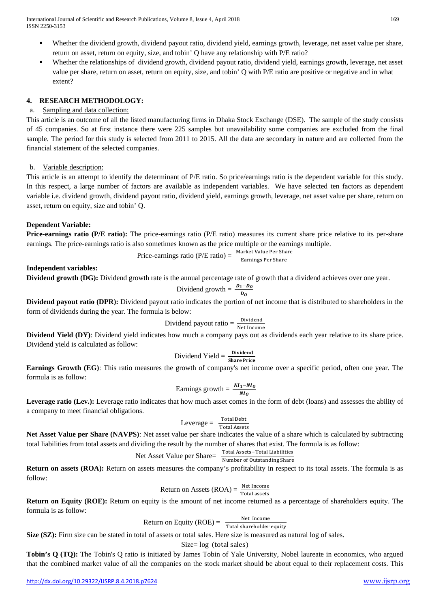International Journal of Scientific and Research Publications, Volume 8, Issue 4, April 2018 169 ISSN 2250-3153

- Whether the dividend growth, dividend payout ratio, dividend yield, earnings growth, leverage, net asset value per share, return on asset, return on equity, size, and tobin' Q have any relationship with P/E ratio?
- Whether the relationships of dividend growth, dividend payout ratio, dividend yield, earnings growth, leverage, net asset value per share, return on asset, return on equity, size, and tobin' Q with P/E ratio are positive or negative and in what extent?

#### **4. RESEARCH METHODOLOGY:**

#### a. Sampling and data collection:

This article is an outcome of all the listed manufacturing firms in Dhaka Stock Exchange (DSE). The sample of the study consists of 45 companies. So at first instance there were 225 samples but unavailability some companies are excluded from the final sample. The period for this study is selected from 2011 to 2015. All the data are secondary in nature and are collected from the financial statement of the selected companies.

#### b. Variable description:

This article is an attempt to identify the determinant of P/E ratio. So price/earnings ratio is the dependent variable for this study. In this respect, a large number of factors are available as independent variables. We have selected ten factors as dependent variable i.e. dividend growth, dividend payout ratio, dividend yield, earnings growth, leverage, net asset value per share, return on asset, return on equity, size and tobin' Q.

#### **Dependent Variable:**

**Price-earnings ratio (P/E ratio):** The price-earnings ratio (P/E ratio) measures its current [share](http://www.investopedia.com/terms/s/shares.asp) price relative to its per-share [earnings.](http://www.investopedia.com/terms/e/eps.asp) The price-earnings ratio is also sometimes known as the [price multiple](http://www.investopedia.com/terms/p/pricemultiples.asp) or the earnings [multiple.](http://www.investopedia.com/terms/m/multiple.asp)

$$
Price-earnings ratio (P/E ratio) = \frac{Market Value Per Share}{Earnings Per Share}
$$

#### **Independent variables:**

**Dividend growth (DG):** Dividend growth rate is the annual percentage rate of growth that a dividend achieves over one year.

Dividend growth = 
$$
\frac{D_1 - D_0}{D_0}
$$

**Dividend payout ratio (DPR):** Dividend payout ratio indicates the portion of net income that is distributed to shareholders in the form of dividends during the year. The formula is below:

Dividend payout ratio = 
$$
\frac{\text{Dividend}}{\text{Net Income}}
$$

**Dividend Yield (DY)**: Dividend yield indicates how much a company pays out as [dividends](http://www.investopedia.com/terms/d/dividend.asp) each year relative to its [share](http://www.investopedia.com/terms/s/shares.asp) price. Dividend yield is calculated as follow:

$$
Dividend\ Yield = \frac{Dividend}{Share\ Price}
$$

**Earnings Growth (EG)**: This ratio measures the growth of company's net income over a specific period, often one year. The formula is as follow:

Earnings growth = 
$$
\frac{NI_1 - NI_0}{NI_0}
$$

Leverage ratio (Lev.): Leverage ratio indicates that how much asset comes in the form of debt (loans) and assesses the ability of a company to meet financial [obligations.](http://www.investopedia.com/terms/o/obligation.asp)

$$
Leverage = \frac{Total Deb}{Total Assets}
$$

**Net Asset Value per Share (NAVPS)**: Net asset value per share indicates the value of a share which is calculated by subtracting total liabilities from total assets and dividing the result by the number of shares that exist. The formula is as follow:

Net Asset Value per Sharce = 
$$
\frac{\text{Total Assets} - \text{Total Liabilities}}{\text{Number of Outstanding Share}}
$$

**Return on assets (ROA):** Return on assets measures the company's profitability in respect to its total assets. The formula is as follow:

Return on Assets (ROA) = 
$$
\frac{\text{Net Income}}{\text{Total assets}}
$$

Total assets<br>**Return on Equity (ROE):** Return on equity is the amount of [net income](http://www.investopedia.com/terms/n/netincome.asp) returned as a percentage of [shareholders](http://www.investopedia.com/terms/s/shareholder.asp) equity. The formula is as follow:

Return on Equity (ROE) = 
$$
\frac{\text{Net Income}}{\text{Total shareholder equity}}
$$

**Size (SZ):** Firm size can be stated in total of assets or total sales. Here size is measured as natural log of sales.

Size= log (total sales)

**Tobin's Q (TQ):** The Tobin's Q ratio is initiated by [James Tobin](http://www.investopedia.com/terms/j/james-tobin.asp) of Yale University, Nobel laureate in economics, who argued that the combined [market value](http://www.investopedia.com/terms/m/marketvalue.asp) of all the companies on the [stock market](http://www.investopedia.com/terms/s/stockmarket.asp) should be about equal to their replacement costs. This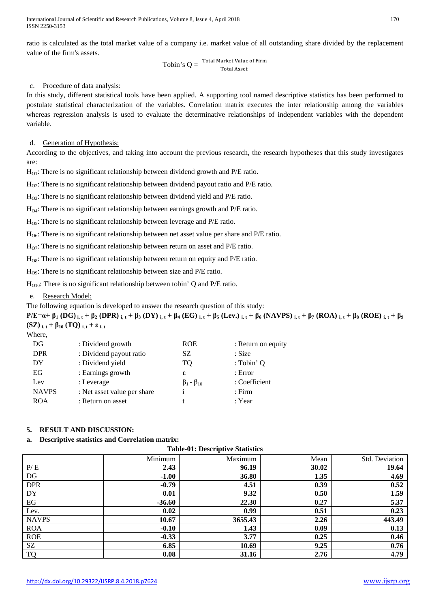International Journal of Scientific and Research Publications, Volume 8, Issue 4, April 2018 170 ISSN 2250-3153

ratio is calculated as the total market value of a company i.e. market value of all outstanding share divided by the replacement value of the firm's assets.

$$
Tobin's Q = \frac{Total Market Value of Firm}{Total Asset}
$$

#### c. Procedure of data analysis:

In this study, different statistical tools have been applied. A supporting tool named descriptive statistics has been performed to postulate statistical characterization of the variables. Correlation matrix executes the inter relationship among the variables whereas regression analysis is used to evaluate the determinative relationships of independent variables with the dependent variable.

#### d. Generation of Hypothesis:

According to the objectives, and taking into account the previous research, the research hypotheses that this study investigates are:

 $H<sub>O1</sub>$ : There is no significant relationship between dividend growth and P/E ratio.

 $H_{Q2}$ : There is no significant relationship between dividend payout ratio and P/E ratio.

HO3: There is no significant relationship between dividend yield and P/E ratio.

HO4: There is no significant relationship between earnings growth and P/E ratio.

 $H<sub>05</sub>$ : There is no significant relationship between leverage and P/E ratio.

HO6: There is no significant relationship between net asset value per share and P/E ratio.

 $H_{07}$ : There is no significant relationship between return on asset and P/E ratio.

 $H<sub>OS</sub>$ : There is no significant relationship between return on equity and P/E ratio.

 $H<sub>09</sub>$ : There is no significant relationship between size and P/E ratio.

 $H<sub>O10</sub>$ : There is no significant relationship between tobin' Q and P/E ratio.

#### e. Research Model:

The following equation is developed to answer the research question of this study:

 $P/E = \alpha + \beta_1 (DG)_{i,t} + \beta_2 (DPR)_{i,t} + \beta_3 (DY)_{i,t} + \beta_4 (EG)_{i,t} + \beta_5 (Lev.)_{i,t} + \beta_6 (NAVPS)_{i,t} + \beta_7 (ROA)_{i,t} + \beta_8 (ROE)_{i,t} + \beta_9 (ROB)_{i,t}$ **(SZ)**  $_{i,t}$  +  $\beta_{10}$  **(TQ)**  $_{i,t}$  +  $\epsilon$   $_{i,t}$ 

Where,

| DG           | : Dividend growth           | <b>ROE</b>             | : Return on equity |
|--------------|-----------------------------|------------------------|--------------------|
| <b>DPR</b>   | : Dividend payout ratio     | SZ                     | : Size             |
| DY           | : Dividend yield            | TQ                     | : Tobin' Q         |
| EG           | : Earnings growth           | ε                      | : Error            |
| Lev          | : Leverage                  | $\beta_1 - \beta_{10}$ | : Coefficient      |
| <b>NAVPS</b> | : Net asset value per share |                        | $:$ Firm           |
| <b>ROA</b>   | : Return on asset           |                        | : Year             |
|              |                             |                        |                    |

# **5. RESULT AND DISCUSSION:**

### **a. Descriptive statistics and Correlation matrix:**

**Table-01: Descriptive Statistics**

|              | Minimum  | Maximum | Mean  | Std. Deviation |
|--------------|----------|---------|-------|----------------|
| P/E          | 2.43     | 96.19   | 30.02 | 19.64          |
| DG           | $-1.00$  | 36.80   | 1.35  | 4.69           |
| <b>DPR</b>   | $-0.79$  | 4.51    | 0.39  | 0.52           |
| DY           | 0.01     | 9.32    | 0.50  | 1.59           |
| EG           | $-36.60$ | 22.30   | 0.27  | 5.37           |
| Lev.         | 0.02     | 0.99    | 0.51  | 0.23           |
| <b>NAVPS</b> | 10.67    | 3655.43 | 2.26  | 443.49         |
| <b>ROA</b>   | $-0.10$  | 1.43    | 0.09  | 0.13           |
| <b>ROE</b>   | $-0.33$  | 3.77    | 0.25  | 0.46           |
| SZ           | 6.85     | 10.69   | 9.25  | 0.76           |
| <b>TQ</b>    | 0.08     | 31.16   | 2.76  | 4.79           |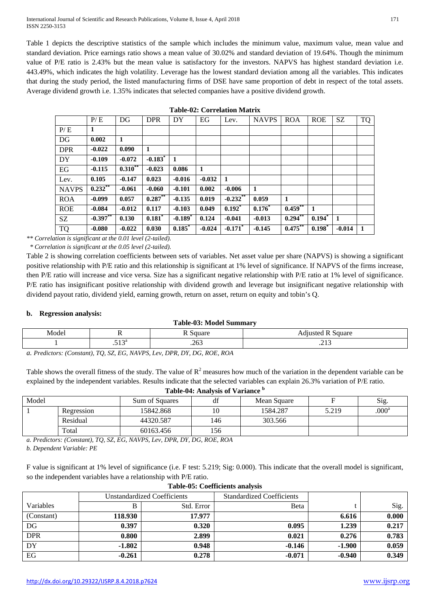International Journal of Scientific and Research Publications, Volume 8, Issue 4, April 2018 171 ISSN 2250-3153

Table 1 depicts the descriptive statistics of the sample which includes the minimum value, maximum value, mean value and standard deviation. Price earnings ratio shows a mean value of 30.02% and standard deviation of 19.64%. Though the minimum value of P/E ratio is 2.43% but the mean value is satisfactory for the investors. NAPVS has highest standard deviation i.e. 443.49%, which indicates the high volatility. Leverage has the lowest standard deviation among all the variables. This indicates that during the study period, the listed manufacturing firms of DSE have same proportion of debt in respect of the total assets. Average dividend growth i.e. 1.35% indicates that selected companies have a positive dividend growth.

|              | P/E         | DG           | <b>DPR</b>            | DY                    | EG           | Lev.       | <b>NAVPS</b> | <b>ROA</b> | <b>ROE</b>           | SZ.      | <b>TQ</b>    |
|--------------|-------------|--------------|-----------------------|-----------------------|--------------|------------|--------------|------------|----------------------|----------|--------------|
| P/E          | 1           |              |                       |                       |              |            |              |            |                      |          |              |
| DG           | 0.002       | 1            |                       |                       |              |            |              |            |                      |          |              |
| <b>DPR</b>   | $-0.022$    | 0.090        | 1                     |                       |              |            |              |            |                      |          |              |
| DY           | $-0.109$    | $-0.072$     | $-0.183$ <sup>*</sup> | 1                     |              |            |              |            |                      |          |              |
| EG           | $-0.115$    | $0.310^{**}$ | $-0.023$              | 0.086                 | $\mathbf{1}$ |            |              |            |                      |          |              |
| Lev.         | 0.105       | $-0.147$     | 0.023                 | $-0.016$              | $-0.032$     | 1          |              |            |                      |          |              |
| <b>NAVPS</b> | $0.232$ **  | $-0.061$     | $-0.060$              | $-0.101$              | 0.002        | $-0.006$   | $\mathbf{1}$ |            |                      |          |              |
| <b>ROA</b>   | $-0.099$    | 0.057        | $0.287**$             | $-0.135$              | 0.019        | $-0.232$   | 0.059        | 1          |                      |          |              |
| <b>ROE</b>   | $-0.084$    | $-0.012$     | 0.117                 | $-0.103$              | 0.049        | $0.192^*$  | $0.176*$     | 0.459      | $\mathbf{1}$         |          |              |
| SZ           | $-0.397$ ** | 0.130        | 0.181                 | $-0.189$ <sup>*</sup> | 0.124        | $-0.041$   | $-0.013$     | $0.294$ ** | $0.194$ <sup>*</sup> | 1        |              |
| <b>TQ</b>    | $-0.080$    | $-0.022$     | 0.030                 | 0.185                 | $-0.024$     | $-0.171$ * | $-0.145$     | $0.475***$ | $0.198^*$            | $-0.014$ | $\mathbf{1}$ |

**Table-02: Correlation Matrix**

*\*\* Correlation is significant at the 0.01 level (2-tailed). \* Correlation is significant at the 0.05 level (2-tailed).*

Table 2 is showing correlation coefficients between sets of variables. Net asset value per share (NAPVS) is showing a significant positive relationship with P/E ratio and this relationship is significant at 1% level of significance. If NAPVS of the firms increase, then P/E ratio will increase and vice versa. Size has a significant negative relationship with P/E ratio at 1% level of significance. P/E ratio has insignificant positive relationship with dividend growth and leverage but insignificant negative relationship with dividend payout ratio, dividend yield, earning growth, return on asset, return on equity and tobin's Q.

### **b. Regression analysis:**

#### **Table-03: Model Summary**

| Model                |           | ouuai v          | square |
|----------------------|-----------|------------------|--------|
|                      | 510a<br>. | າ∠າ<br>د∪∡.<br>. | ر د ب  |
| ___<br>$\sim$ $\sim$ |           |                  |        |

*a. Predictors: (Constant), TQ, SZ, EG, NAVPS, Lev, DPR, DY, DG, ROE, ROA*

Table shows the overall fitness of the study. The value of  $R^2$  measures how much of the variation in the dependent variable can be explained by the independent variables. Results indicate that the selected variables can explain 26.3% variation of P/E ratio. **Table-04: Analysis of Variance <sup>b</sup>**

|       | __________________________ |                |     |             |       |                   |  |  |  |  |
|-------|----------------------------|----------------|-----|-------------|-------|-------------------|--|--|--|--|
| Model |                            | Sum of Squares | df  | Mean Square |       | Sig.              |  |  |  |  |
|       | Regression                 | 15842.868      |     | 1584.287    | 5.219 | .000 <sup>a</sup> |  |  |  |  |
|       | Residual                   | 44320.587      | 146 | 303.566     |       |                   |  |  |  |  |
|       | Total                      | 60163.456      | 156 |             |       |                   |  |  |  |  |

*a. Predictors: (Constant), TQ, SZ, EG, NAVPS, Lev, DPR, DY, DG, ROE, ROA*

*b. Dependent Variable: PE*

F value is significant at 1% level of significance (i.e. F test: 5.219; Sig: 0.000). This indicate that the overall model is significant, so the independent variables have a relationship with P/E ratio.

| Table-03. Cocincients analysis |                                    |            |                                  |          |       |  |  |  |
|--------------------------------|------------------------------------|------------|----------------------------------|----------|-------|--|--|--|
|                                | <b>Unstandardized Coefficients</b> |            | <b>Standardized Coefficients</b> |          |       |  |  |  |
| Variables                      |                                    | Std. Error | Beta                             |          | Sig.  |  |  |  |
| (Constant)                     | 118.930                            | 17.977     |                                  | 6.616    | 0.000 |  |  |  |
| DG                             | 0.397                              | 0.320      | 0.095                            | 1.239    | 0.217 |  |  |  |
| <b>DPR</b>                     | 0.800                              | 2.899      | 0.021                            | 0.276    | 0.783 |  |  |  |
| DY                             | $-1.802$                           | 0.948      | $-0.146$                         | $-1.900$ | 0.059 |  |  |  |
| EG                             | $-0.261$                           | 0.278      | $-0.071$                         | $-0.940$ | 0.349 |  |  |  |

#### **Table-05: Coefficients analysis**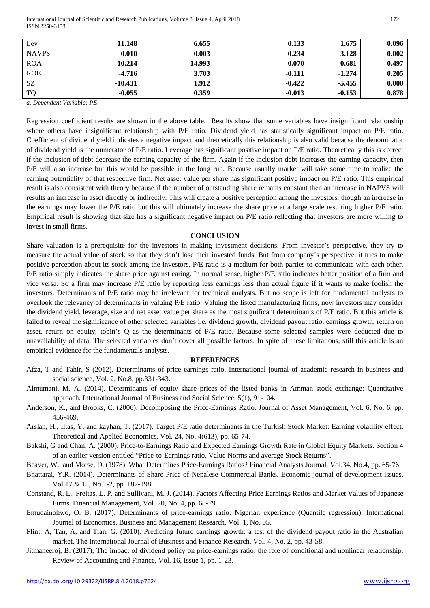International Journal of Scientific and Research Publications, Volume 8, Issue 4, April 2018 172 ISSN 2250-3153

| Lev          | 11.148    | 6.655  | 0.133    | 1.675    | 0.096 |
|--------------|-----------|--------|----------|----------|-------|
| <b>NAVPS</b> | 0.010     | 0.003  | 0.234    | 3.128    | 0.002 |
| <b>ROA</b>   | 10.214    | 14.993 | 0.070    | 0.681    | 0.497 |
| <b>ROE</b>   | $-4.716$  | 3.703  | $-0.111$ | $-1.274$ | 0.205 |
| SZ           | $-10.431$ | 1.912  | $-0.422$ | $-5.455$ | 0.000 |
| <b>TQ</b>    | $-0.055$  | 0.359  | $-0.013$ | $-0.153$ | 0.878 |

*a. Dependent Variable: PE*

Regression coefficient results are shown in the above table. Results show that some variables have insignificant relationship where others have insignificant relationship with P/E ratio. Dividend yield has statistically significant impact on P/E ratio. Coefficient of dividend yield indicates a negative impact and theoretically this relationship is also valid because the denominator of dividend yield is the numerator of P/E ratio. Leverage has significant positive impact on P/E ratio. Theoretically this is correct if the inclusion of debt decrease the earning capacity of the firm. Again if the inclusion debt increases the earning capacity, then P/E will also increase but this would be possible in the long run. Because usually market will take some time to realize the earning potentiality of that respective firm. Net asset value per share has significant positive impact on P/E ratio. This empirical result is also consistent with theory because if the number of outstanding share remains constant then an increase in NAPVS will results an increase in asset directly or indirectly. This will create a positive perception among the investors, though an increase in the earnings may lower the P/E ratio but this will ultimately increase the share price at a large scale resulting higher P/E ratio. Empirical result is showing that size has a significant negative impact on P/E ratio reflecting that investors are more willing to invest in small firms.

#### **CONCLUSION**

Share valuation is a prerequisite for the investors in making investment decisions. From investor's perspective, they try to measure the actual value of stock so that they don't lose their invested funds. But from company's perspective, it tries to make positive perception about its stock among the investors. P/E ratio is a medium for both parties to communicate with each other. P/E ratio simply indicates the share price against earing. In normal sense, higher P/E ratio indicates better position of a firm and vice versa. So a firm may increase P/E ratio by reporting less earnings less than actual figure if it wants to make foolish the investors. Determinants of P/E ratio may be irrelevant for technical analysts. But no scope is left for fundamental analysts to overlook the relevancy of determinants in valuing P/E ratio. Valuing the listed manufacturing firms, now investors may consider the dividend yield, leverage, size and net asset value per share as the most significant determinants of P/E ratio. But this article is failed to reveal the significance of other selected variables i.e. dividend growth, dividend payout ratio, earnings growth, return on asset, return on equity, tobin's Q as the determinants of P/E ratio. Because some selected samples were deducted due to unavailability of data. The selected variables don't cover all possible factors. In spite of these limitations, still this article is an empirical evidence for the fundamentals analysts.

#### **REFERENCES**

- Afza, T and Tahir, S (2012). Determinants of price earnings ratio. International journal of academic research in business and social science, Vol. 2, No.8, pp.331-343.
- Almumani, M. A. (2014). Determinants of equity share prices of the listed banks in Amman stock exchange: Quantitative approach. International Journal of Business and Social Science, 5(1), 91-104.
- Anderson, K., and Brooks, C. (2006). Decomposing the Price-Earnings Ratio. Journal of Asset Management, Vol. 6, No. 6, pp. 456-469.
- Arslan, H., Iltas, Y. and kayhan, T. (2017). Target P/E ratio determinants in the Turkish Stock Market: Earning volatility effect. Theoretical and Applied Economics, Vol. 24, No. 4(613), pp. 65-74.
- Bakshi, G and Chan, A. (2000). Price-to-Earnings Ratio and Expected Earnings Growth Rate in Global Equity Markets. Section 4 of an earlier version entitled "Price-to-Earnings ratio, Value Norms and average Stock Returns".
- Beaver, W., and Morse, D. (1978). What Determines Price-Earnings Ratios? Financial Analysts Journal, Vol.34, No.4, pp. 65-76.
- Bhattarai, Y.R. (2014). Determinants of Share Price of Nepalese Commercial Banks. Economic journal of development issues, Vol.17 & 18, No.1-2, pp. 187-198.
- Constand, R. L., Freitas, L. P. and Sullivani, M. J. (2014). Factors Affecting Price Earnings Ratios and Market Values of Japanese Firms. Financial Management, Vol. 20, No. 4, pp. 68-79.
- Emudainohwo, O. B. (2017). Determinants of price-earnings ratio: Nigerian experience (Quantile regression). International Journal of Economics, Business and Management Research, Vol. 1, No. 05.
- Flint, A, Tan, A, and Tian, G. (2010). Predicting future earnings growth: a test of the dividend payout ratio in the Australian market. The International Journal of Business and Finance Research, Vol. 4, No. 2, pp. 43-58.
- Jitmaneeroj, B. (2017), The impact of dividend policy on price-earnings ratio: the role of conditional and nonlinear relationship. Review of Accounting and Finance, Vol. 16, Issue 1, pp. 1-23.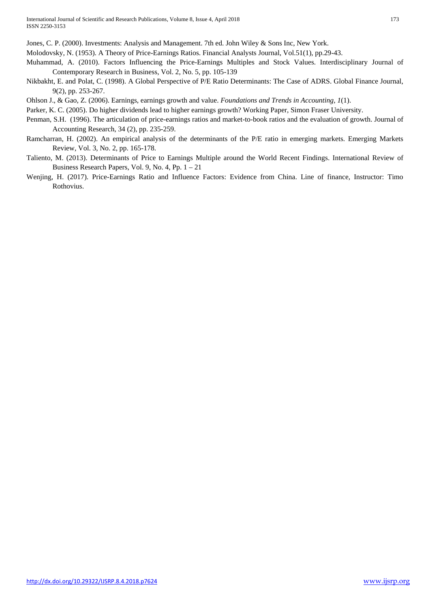Jones, C. P. (2000). Investments: Analysis and Management. 7th ed. John Wiley & Sons Inc, New York.

Molodovsky, N. (1953). A Theory of Price-Earnings Ratios. Financial Analysts Journal, Vol.51(1), pp.29-43.

- Muhammad, A. (2010). Factors Influencing the Price-Earnings Multiples and Stock Values. Interdisciplinary Journal of Contemporary Research in Business, Vol. 2, No. 5, pp. 105-139
- Nikbakht, E. and Polat, C. (1998). A Global Perspective of P/E Ratio Determinants: The Case of ADRS. Global Finance Journal, 9(2), pp. 253-267.
- Ohlson J., & Gao, Z. (2006). Earnings, earnings growth and value. *Foundations and Trends in Accounting, 1*(1).
- Parker, K. C. (2005). Do higher dividends lead to higher earnings growth? Working Paper, Simon Fraser University.
- Penman, S.H. (1996). The articulation of price-earnings ratios and market-to-book ratios and the evaluation of growth. Journal of Accounting Research, 34 (2), pp. 235-259.
- Ramcharran, H. (2002). An empirical analysis of the determinants of the P/E ratio in emerging markets. Emerging Markets Review, Vol. 3, No. 2, pp. 165-178.
- Taliento, M. (2013). Determinants of Price to Earnings Multiple around the World Recent Findings. International Review of Business Research Papers, Vol. 9, No. 4, Pp. 1 – 21
- Wenjing, H. (2017). Price-Earnings Ratio and Influence Factors: Evidence from China. Line of finance, Instructor: Timo Rothovius.